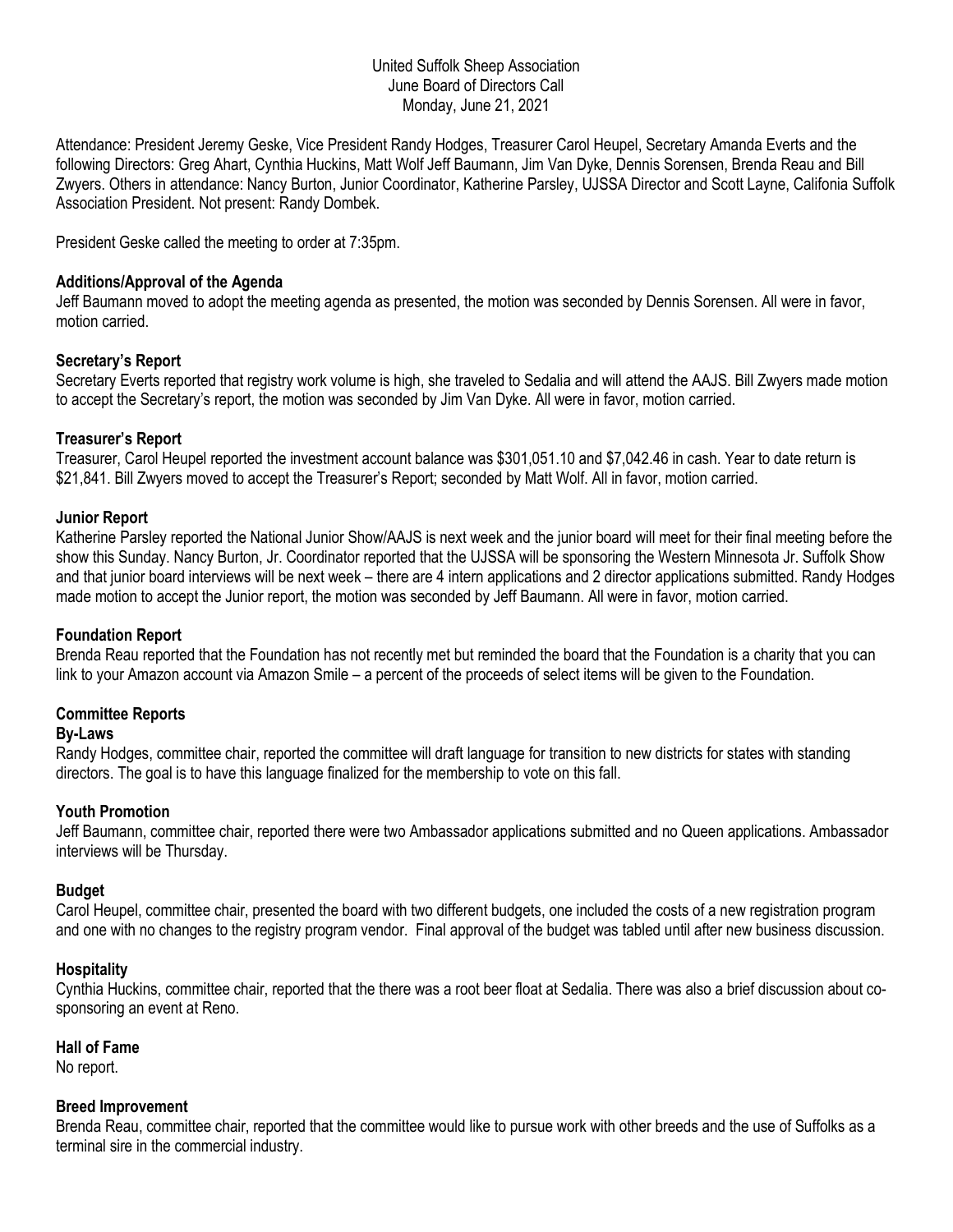#### United Suffolk Sheep Association June Board of Directors Call Monday, June 21, 2021

Attendance: President Jeremy Geske, Vice President Randy Hodges, Treasurer Carol Heupel, Secretary Amanda Everts and the following Directors: Greg Ahart, Cynthia Huckins, Matt Wolf Jeff Baumann, Jim Van Dyke, Dennis Sorensen, Brenda Reau and Bill Zwyers. Others in attendance: Nancy Burton, Junior Coordinator, Katherine Parsley, UJSSA Director and Scott Layne, Califonia Suffolk Association President. Not present: Randy Dombek.

President Geske called the meeting to order at 7:35pm.

#### **Additions/Approval of the Agenda**

Jeff Baumann moved to adopt the meeting agenda as presented, the motion was seconded by Dennis Sorensen. All were in favor, motion carried.

#### **Secretary's Report**

Secretary Everts reported that registry work volume is high, she traveled to Sedalia and will attend the AAJS. Bill Zwyers made motion to accept the Secretary's report, the motion was seconded by Jim Van Dyke. All were in favor, motion carried.

### **Treasurer's Report**

Treasurer, Carol Heupel reported the investment account balance was \$301,051.10 and \$7,042.46 in cash. Year to date return is \$21,841. Bill Zwyers moved to accept the Treasurer's Report; seconded by Matt Wolf. All in favor, motion carried.

#### **Junior Report**

Katherine Parsley reported the National Junior Show/AAJS is next week and the junior board will meet for their final meeting before the show this Sunday. Nancy Burton, Jr. Coordinator reported that the UJSSA will be sponsoring the Western Minnesota Jr. Suffolk Show and that junior board interviews will be next week – there are 4 intern applications and 2 director applications submitted. Randy Hodges made motion to accept the Junior report, the motion was seconded by Jeff Baumann. All were in favor, motion carried.

#### **Foundation Report**

Brenda Reau reported that the Foundation has not recently met but reminded the board that the Foundation is a charity that you can link to your Amazon account via Amazon Smile – a percent of the proceeds of select items will be given to the Foundation.

## **Committee Reports**

#### **By-Laws**

Randy Hodges, committee chair, reported the committee will draft language for transition to new districts for states with standing directors. The goal is to have this language finalized for the membership to vote on this fall.

#### **Youth Promotion**

Jeff Baumann, committee chair, reported there were two Ambassador applications submitted and no Queen applications. Ambassador interviews will be Thursday.

#### **Budget**

Carol Heupel, committee chair, presented the board with two different budgets, one included the costs of a new registration program and one with no changes to the registry program vendor. Final approval of the budget was tabled until after new business discussion.

#### **Hospitality**

Cynthia Huckins, committee chair, reported that the there was a root beer float at Sedalia. There was also a brief discussion about cosponsoring an event at Reno.

#### **Hall of Fame**

No report.

#### **Breed Improvement**

Brenda Reau, committee chair, reported that the committee would like to pursue work with other breeds and the use of Suffolks as a terminal sire in the commercial industry.